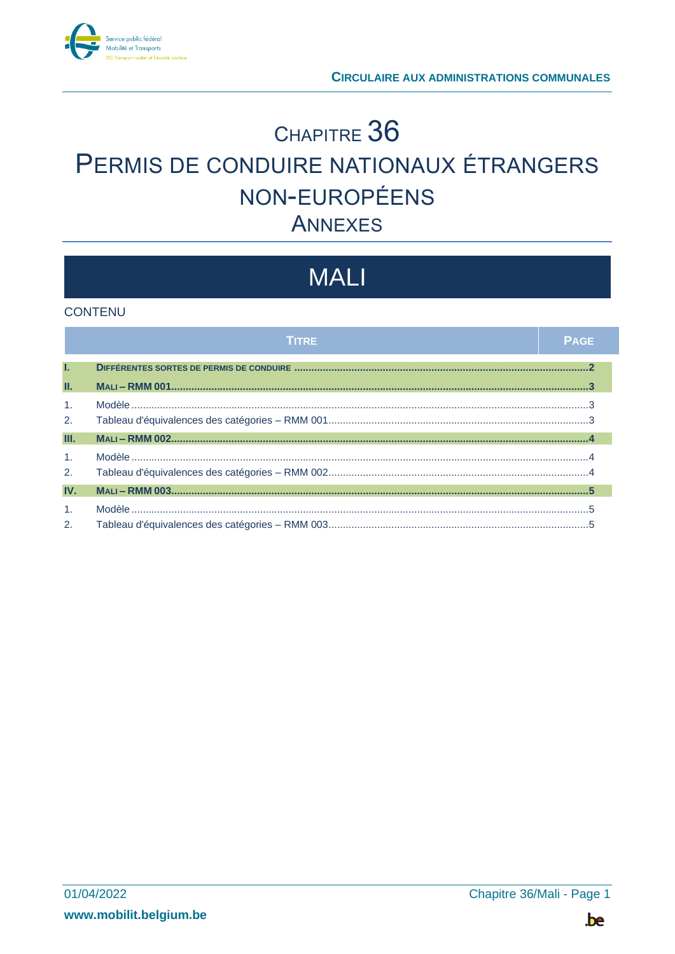

## CHAPITRE 36 PERMIS DE CONDUIRE NATIONAUX ÉTRANGERS NON-EUROPÉENS **ANNEXES**

# **MALI**

#### **CONTENU**

|                                  | TITRE | <b>PAGE</b> |
|----------------------------------|-------|-------------|
| T.                               |       |             |
| П.                               |       |             |
| $\overline{1}$ .<br>2.           |       |             |
| Ш.                               |       |             |
| $\mathbf{1}$ .<br>2.             |       |             |
| IV.                              |       |             |
| $\mathbf{1}$ .<br>2 <sub>1</sub> |       |             |

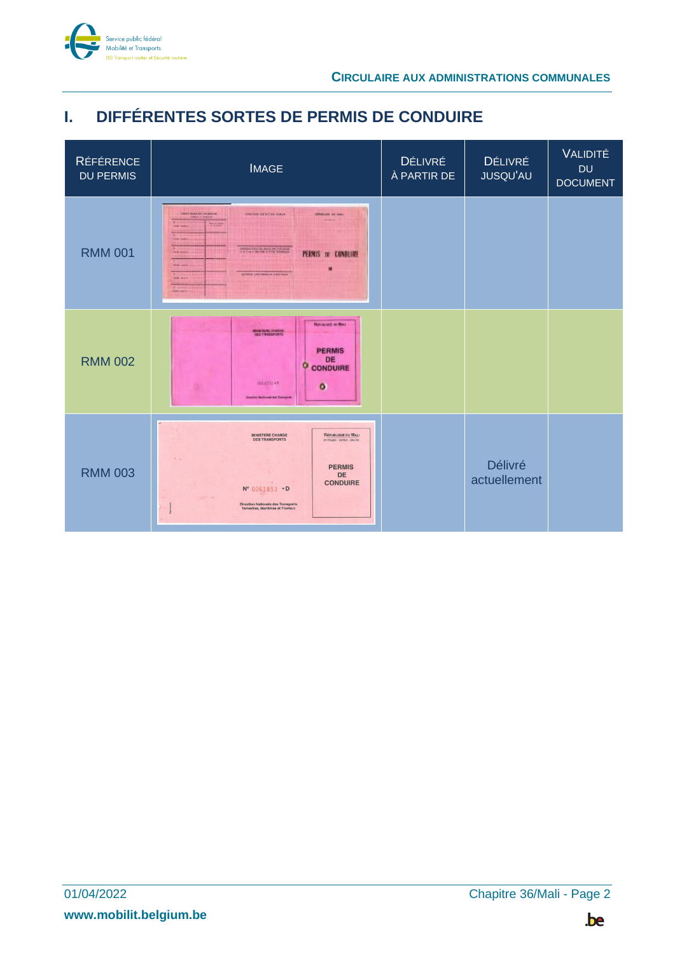

## <span id="page-1-0"></span>**I. DIFFÉRENTES SORTES DE PERMIS DE CONDUIRE**

| <b>RÉFÉRENCE</b><br><b>DU PERMIS</b> | <b>IMAGE</b>                                                                                                                                                                                                                                                                                                                                                                                                | <b>DÉLIVRÉ</b><br>À PARTIR DE | <b>DÉLIVRÉ</b><br><b>JUSQU'AU</b> | <b>VALIDITÉ</b><br><b>DU</b><br><b>DOCUMENT</b> |
|--------------------------------------|-------------------------------------------------------------------------------------------------------------------------------------------------------------------------------------------------------------------------------------------------------------------------------------------------------------------------------------------------------------------------------------------------------------|-------------------------------|-----------------------------------|-------------------------------------------------|
| <b>RMM 001</b>                       | CHECKE EXTREME MAKE<br><b>INDEPENDENT DOMESTIC</b><br><b>INVENTOR DV NORT</b><br>91300<br><b>And Audio</b><br>states for the same in column<br><b>Harakee</b><br>PERMIS DE CONDUIRE<br><b>State company</b><br><b>UNITED STATES CONSULTED AND STATES</b><br><b>Sale Ave &amp;</b>                                                                                                                           |                               |                                   |                                                 |
| <b>RMM 002</b>                       | <b>Reviewed as Max</b><br>MARINERIAL CHARTER<br>Vien Traaggroefs<br><b>PERMIS</b><br>DE<br>o<br><b>CONDUIRE</b><br>miamore.<br>$\circ$<br>the Automatica Transport                                                                                                                                                                                                                                          |                               |                                   |                                                 |
| <b>RMM 003</b>                       | RÉPUBLIQUE DU MALI<br><b>MINISTERE CHARGE</b><br><b>DES TRANSPORTS</b><br>Un Peuple - Un But - Une foi<br>$\sim$ $\sim$<br><b>PERMIS</b><br><b>DE</b><br><b>CONDUIRE</b><br>big.<br>N° 0061853 .D<br>$\frac{1}{2} \left( \frac{1}{2} \right)^{2} \left( \frac{1}{2} \right)^{2} \left( \frac{1}{2} \right)^{2}$<br><b>Direction Nationale des Transports</b><br>$\sim$<br>Terrestres, Maritimes et Fluviaux |                               | <b>Délivré</b><br>actuellement    |                                                 |

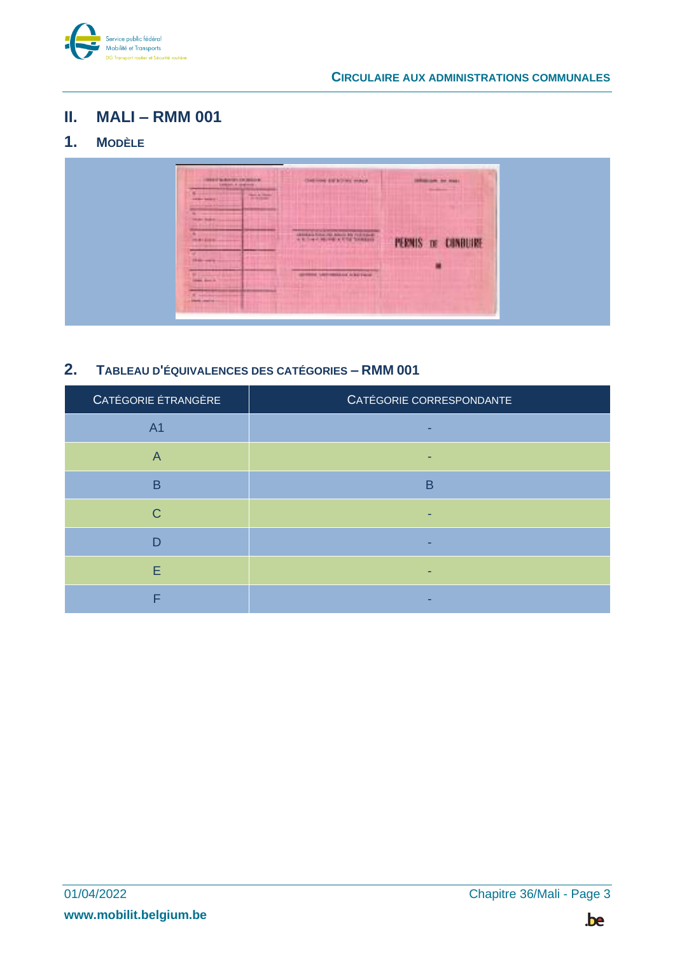

#### <span id="page-2-0"></span>**II. MALI – RMM 001**

## <span id="page-2-1"></span>**1. MODÈLE**



#### <span id="page-2-2"></span>**2. TABLEAU D'ÉQUIVALENCES DES CATÉGORIES – RMM 001**

| CATÉGORIE ÉTRANGÈRE | CATÉGORIE CORRESPONDANTE |
|---------------------|--------------------------|
| A <sub>1</sub>      |                          |
| $\overline{A}$      |                          |
| B                   | B                        |
| $\mathsf{C}$        |                          |
| D                   |                          |
| Ε                   |                          |
|                     |                          |

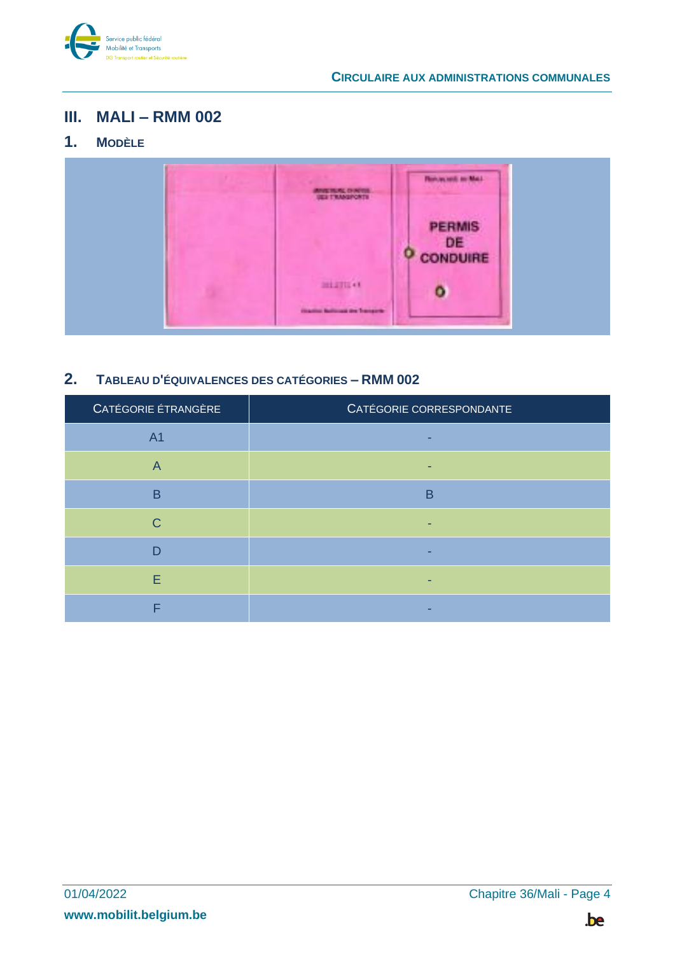

#### <span id="page-3-0"></span>**III. MALI – RMM 002**

## <span id="page-3-1"></span>**1. MODÈLE**



#### <span id="page-3-2"></span>**2. TABLEAU D'ÉQUIVALENCES DES CATÉGORIES – RMM 002**

| CATÉGORIE ÉTRANGÈRE | CATÉGORIE CORRESPONDANTE |
|---------------------|--------------------------|
| A <sub>1</sub>      |                          |
| $\overline{A}$      |                          |
| B                   | в                        |
| $\mathsf{C}$        |                          |
| D                   |                          |
| E                   |                          |
|                     |                          |

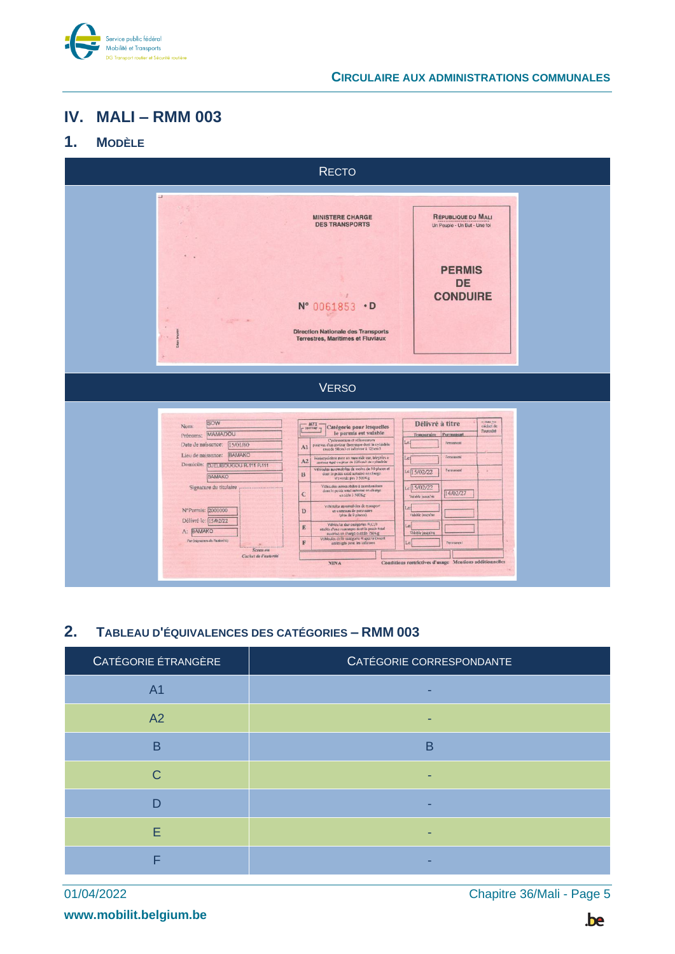

#### **CIRCULAIRE AUX ADMINISTRATIONS COMMUNALES**

### <span id="page-4-0"></span>**IV. MALI – RMM 003**

#### <span id="page-4-1"></span>**1. MODÈLE**



#### <span id="page-4-2"></span>**2. TABLEAU D'ÉQUIVALENCES DES CATÉGORIES – RMM 003**

| CATÉGORIE ETRANGERE | CATÉGORIE CORRESPONDANTE |
|---------------------|--------------------------|
| A <sub>1</sub>      |                          |
| A2                  |                          |
| B                   | в                        |
| $\mathsf{C}$        |                          |
| n                   |                          |
| Е                   |                          |
| Е                   |                          |

01/04/2022 Chapitre 36/Mali - Page 5